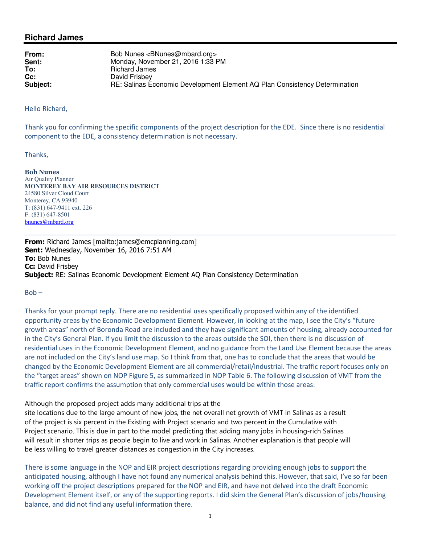## **Richard James**

| From:    | Bob Nunes <bnunes@mbard.org></bnunes@mbard.org>                            |
|----------|----------------------------------------------------------------------------|
| Sent:    | Monday, November 21, 2016 1:33 PM                                          |
| To:      | Richard James                                                              |
| $Cc$ :   | David Frisbey                                                              |
| Subject: | RE: Salinas Economic Development Element AQ Plan Consistency Determination |

Hello Richard,

Thank you for confirming the specific components of the project description for the EDE. Since there is no residential component to the EDE, a consistency determination is not necessary.

Thanks,

Bob Nunes Air Quality Planner **MONTEREY BAY AIR RESOURCES DISTRICT** 24580 Silver Cloud Court Monterey, CA 93940 T: (831) 647-9411 ext. 226 F: (831) 647-8501 bnunes@mbard.org

From: Richard James [mailto:james@emcplanning.com] Sent: Wednesday, November 16, 2016 7:51 AM To: Bob Nunes **Cc:** David Frisbev Subject: RE: Salinas Economic Development Element AQ Plan Consistency Determination

 $Bob -$ 

Thanks for your prompt reply. There are no residential uses specifically proposed within any of the identified opportunity areas by the Economic Development Element. However, in looking at the map, I see the City's "future growth areas" north of Boronda Road are included and they have significant amounts of housing, already accounted for in the City's General Plan. If you limit the discussion to the areas outside the SOI, then there is no discussion of residential uses in the Economic Development Element, and no guidance from the Land Use Element because the areas are not included on the City's land use map. So I think from that, one has to conclude that the areas that would be changed by the Economic Development Element are all commercial/retail/industrial. The traffic report focuses only on the "target areas" shown on NOP Figure 5, as summarized in NOP Table 6. The following discussion of VMT from the traffic report confirms the assumption that only commercial uses would be within those areas:

Although the proposed project adds many additional trips at the

site locations due to the large amount of new jobs, the net overall net growth of VMT in Salinas as a result of the project is six percent in the Existing with Project scenario and two percent in the Cumulative with Project scenario. This is due in part to the model predicting that adding many jobs in housing-rich Salinas will result in shorter trips as people begin to live and work in Salinas. Another explanation is that people will be less willing to travel greater distances as congestion in the City increases.

There is some language in the NOP and EIR project descriptions regarding providing enough jobs to support the anticipated housing, although I have not found any numerical analysis behind this. However, that said, I've so far been working off the project descriptions prepared for the NOP and EIR, and have not delved into the draft Economic Development Element itself, or any of the supporting reports. I did skim the General Plan's discussion of jobs/housing balance, and did not find any useful information there.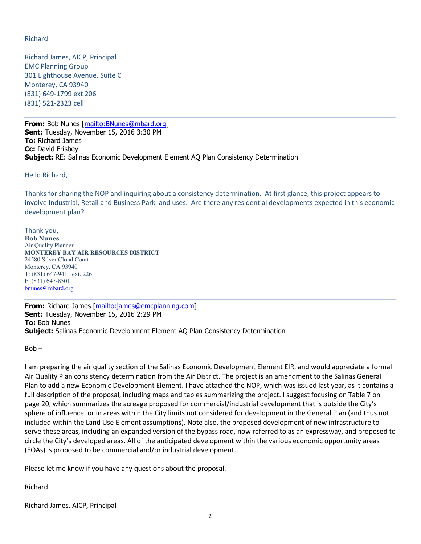## Richard

Richard James, AICP, Principal EMC Planning Group 301 Lighthouse Avenue, Suite C Monterey, CA 93940 (831) 649-1799 ext 206 (831) 521-2323 cell

From: Bob Nunes [mailto: BNunes@mbard.org] Sent: Tuesday, November 15, 2016 3:30 PM To: Richard James Cc: David Frishev **Subject:** RE: Salinas Economic Development Element AQ Plan Consistency Determination

Hello Richard,

Thanks for sharing the NOP and inquiring about a consistency determination. At first glance, this project appears to involve Industrial, Retail and Business Park land uses. Are there any residential developments expected in this economic development plan?

Thank you, Bob Nunes Air Quality Planner **MONTEREY BAY AIR RESOURCES DISTRICT** 24580 Silver Cloud Court Monterey, CA 93940 T: (831) 647-9411 ext. 226 F: (831) 647-8501 bnunes@mbard.org

From: Richard James [mailto:james@emcplanning.com] Sent: Tuesday, November 15, 2016 2:29 PM To: Bob Nunes **Subject:** Salinas Economic Development Element AQ Plan Consistency Determination

Bob –

I am preparing the air quality section of the Salinas Economic Development Element EIR, and would appreciate a formal Air Quality Plan consistency determination from the Air District. The project is an amendment to the Salinas General Plan to add a new Economic Development Element. I have attached the NOP, which was issued last year, as it contains a full description of the proposal, including maps and tables summarizing the project. I suggest focusing on Table 7 on page 20, which summarizes the acreage proposed for commercial/industrial development that is outside the City's sphere of influence, or in areas within the City limits not considered for development in the General Plan (and thus not included within the Land Use Element assumptions). Note also, the proposed development of new infrastructure to serve these areas, including an expanded version of the bypass road, now referred to as an expressway, and proposed to circle the City's developed areas. All of the anticipated development within the various economic opportunity areas (EOAs) is proposed to be commercial and/or industrial development.

Please let me know if you have any questions about the proposal.

Richard

Richard James, AICP, Principal